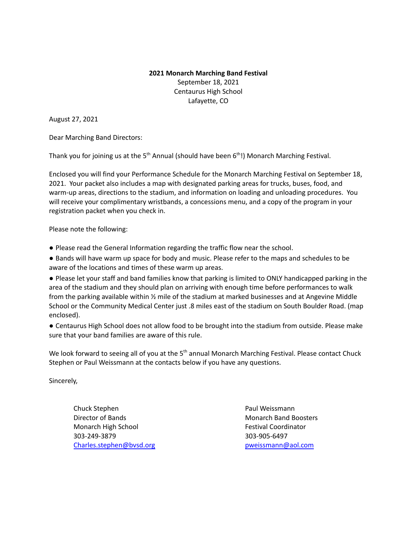## **2021 Monarch Marching Band Festival** September 18, 2021 Centaurus High School Lafayette, CO

August 27, 2021

Dear Marching Band Directors:

Thank you for joining us at the 5<sup>th</sup> Annual (should have been 6<sup>th</sup>!) Monarch Marching Festival.

Enclosed you will find your Performance Schedule for the Monarch Marching Festival on September 18, 2021. Your packet also includes a map with designated parking areas for trucks, buses, food, and warm-up areas, directions to the stadium, and information on loading and unloading procedures. You will receive your complimentary wristbands, a concessions menu, and a copy of the program in your registration packet when you check in.

Please note the following:

● Please read the General Information regarding the traffic flow near the school.

● Bands will have warm up space for body and music. Please refer to the maps and schedules to be aware of the locations and times of these warm up areas.

● Please let your staff and band families know that parking is limited to ONLY handicapped parking in the area of the stadium and they should plan on arriving with enough time before performances to walk from the parking available within  $\frac{1}{2}$  mile of the stadium at marked businesses and at Angevine Middle School or the Community Medical Center just .8 miles east of the stadium on South Boulder Road. (map enclosed).

● Centaurus High School does not allow food to be brought into the stadium from outside. Please make sure that your band families are aware of this rule.

We look forward to seeing all of you at the 5<sup>th</sup> annual Monarch Marching Festival. Please contact Chuck Stephen or Paul Weissmann at the contacts below if you have any questions.

Sincerely,

Chuck Stephen **Paul Weissmann Director of Bands** Monarch Band Boosters Monarch High School **Festival Coordinator** Festival Coordinator 303-249-3879 303-905-6497 [Charles.stephen@bvsd.org](mailto:Charles.stephen@bvsd.org) [pweissmann@aol.com](mailto:pweissmann@aol.com)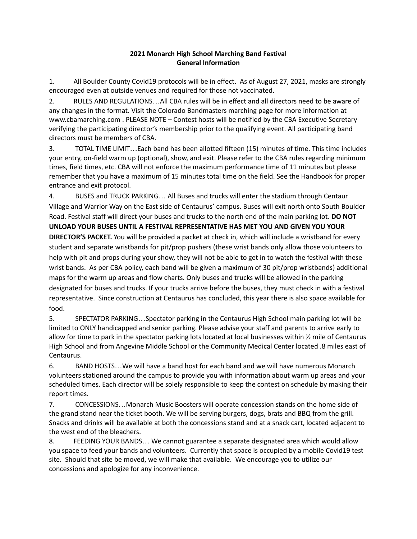## **2021 Monarch High School Marching Band Festival General Information**

1. All Boulder County Covid19 protocols will be in effect. As of August 27, 2021, masks are strongly encouraged even at outside venues and required for those not vaccinated.

2. RULES AND REGULATIONS…All CBA rules will be in effect and all directors need to be aware of any changes in the format. Visit the Colorado Bandmasters marching page for more information at www.cbamarching.com . PLEASE NOTE – Contest hosts will be notified by the CBA Executive Secretary verifying the participating director's membership prior to the qualifying event. All participating band directors must be members of CBA.

3. TOTAL TIME LIMIT…Each band has been allotted fifteen (15) minutes of time. This time includes your entry, on-field warm up (optional), show, and exit. Please refer to the CBA rules regarding minimum times, field times, etc. CBA will not enforce the maximum performance time of 11 minutes but please remember that you have a maximum of 15 minutes total time on the field. See the Handbook for proper entrance and exit protocol.

4. BUSES and TRUCK PARKING… All Buses and trucks will enter the stadium through Centaur Village and Warrior Way on the East side of Centaurus' campus. Buses will exit north onto South Boulder Road. Festival staff will direct your buses and trucks to the north end of the main parking lot. **DO NOT UNLOAD YOUR BUSES UNTIL A FESTIVAL REPRESENTATIVE HAS MET YOU AND GIVEN YOU YOUR DIRECTOR'S PACKET.** You will be provided a packet at check in, which will include a wristband for every student and separate wristbands for pit/prop pushers (these wrist bands only allow those volunteers to help with pit and props during your show, they will not be able to get in to watch the festival with these wrist bands. As per CBA policy, each band will be given a maximum of 30 pit/prop wristbands) additional maps for the warm up areas and flow charts. Only buses and trucks will be allowed in the parking designated for buses and trucks. If your trucks arrive before the buses, they must check in with a festival representative. Since construction at Centaurus has concluded, this year there is also space available for food.

5. SPECTATOR PARKING…Spectator parking in the Centaurus High School main parking lot will be limited to ONLY handicapped and senior parking. Please advise your staff and parents to arrive early to allow for time to park in the spectator parking lots located at local businesses within ½ mile of Centaurus High School and from Angevine Middle School or the Community Medical Center located .8 miles east of Centaurus.

6. BAND HOSTS…We will have a band host for each band and we will have numerous Monarch volunteers stationed around the campus to provide you with information about warm up areas and your scheduled times. Each director will be solely responsible to keep the contest on schedule by making their report times.

7. CONCESSIONS…Monarch Music Boosters will operate concession stands on the home side of the grand stand near the ticket booth. We will be serving burgers, dogs, brats and BBQ from the grill. Snacks and drinks will be available at both the concessions stand and at a snack cart, located adjacent to the west end of the bleachers.

8. FEEDING YOUR BANDS… We cannot guarantee a separate designated area which would allow you space to feed your bands and volunteers. Currently that space is occupied by a mobile Covid19 test site. Should that site be moved, we will make that available. We encourage you to utilize our concessions and apologize for any inconvenience.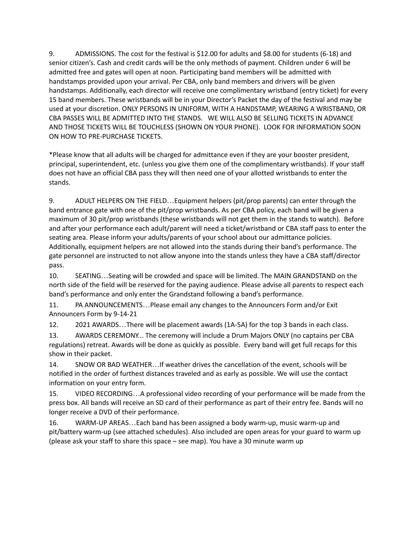9. ADMISSIONS. The cost for the festival is \$12.00 for adults and \$8.00 for students (6-18) and senior citizen's. Cash and credit cards will be the only methods of payment. Children under 6 will be admitted free and gates will open at noon. Participating band members will be admitted with handstamps provided upon your arrival. Per CBA, only band members and drivers will be given handstamps. Additionally, each director will receive one complimentary wristband (entry ticket) for every 15 band members. These wristbands will be in your Director's Packet the day of the festival and may be used at your discretion. ONLY PERSONS IN UNIFORM, WITH A HANDSTAMP, WEARING A WRISTBAND, OR CBA PASSES WILL BE ADMITTED INTO THE STANDS. WE WILL ALSO BE SELLING TICKETS IN ADVANCE AND THOSE TICKETS WILL BE TOUCHLESS (SHOWN ON YOUR PHONE). LOOK FOR INFORMATION SOON ON HOW TO PRE-PURCHASE TICKETS.

\*Please know that all adults will be charged for admittance even if they are your booster president, principal, superintendent, etc. (unless you give them one of the complimentary wristbands). If your staff does not have an official CBA pass they will then need one of your allotted wristbands to enter the stands.

9. ADULT HELPERS ON THE FIELD…Equipment helpers (pit/prop parents) can enter through the band entrance gate with one of the pit/prop wristbands. As per CBA policy, each band will be given a maximum of 30 pit/prop wristbands (these wristbands will not get them in the stands to watch). Before and after your performance each adult/parent will need a ticket/wristband or CBA staff pass to enter the seating area. Please inform your adults/parents of your school about our admittance policies. Additionally, equipment helpers are not allowed into the stands during their band's performance. The gate personnel are instructed to not allow anyone into the stands unless they have a CBA staff/director pass.

10. SEATING…Seating will be crowded and space will be limited. The MAIN GRANDSTAND on the north side of the field will be reserved for the paying audience. Please advise all parents to respect each band's performance and only enter the Grandstand following a band's performance.

11. PA ANNOUNCEMENTS…Please email any changes to the Announcers Form and/or Exit Announcers Form by 9-14-21

12. 2021 AWARDS…There will be placement awards (1A-5A) for the top 3 bands in each class.

13. AWARDS CEREMONY... The ceremony will include a Drum Majors ONLY (no captains per CBA regulations) retreat. Awards will be done as quickly as possible. Every band will get full recaps for this show in their packet.

14. SNOW OR BAD WEATHER…If weather drives the cancellation of the event, schools will be notified in the order of furthest distances traveled and as early as possible. We will use the contact information on your entry form.

15. VIDEO RECORDING…A professional video recording of your performance will be made from the press box. All bands will receive an SD card of their performance as part of their entry fee. Bands will no longer receive a DVD of their performance.

16. WARM-UP AREAS…Each band has been assigned a body warm-up, music warm-up and pit/battery warm-up (see attached schedules). Also included are open areas for your guard to warm up (please ask your staff to share this space – see map). You have a 30 minute warm up